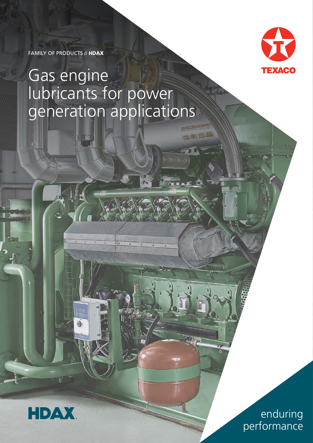

enduring performance

## Gas engine lubricants for power generation applications

 $\neg n$ 

FAMILY OF PRODUCTS // HDAX

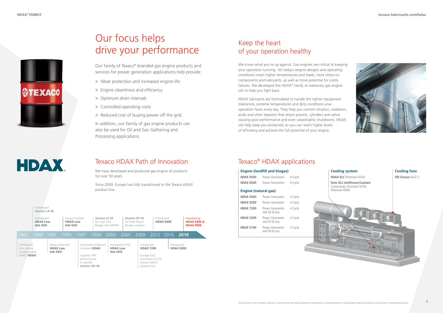

# **HDAX**



## Keep the heart of your operation healthy

We know what you're up against. Gas engines are critical to keeping your operation running. Yet today's engine designs and operating conditions mean higher temperatures and loads, more stress on components and lubricants, as well as more potential for costly failures. We developed the HDAX® family of stationary gas engine oils to help you fight back.

HDAX lubricants are formulated to handle the tighter equipment tolerances, extreme temperatures and dirty conditions your operation faces every day. They help you control nitration, oxidation, acids and other deposits that attack pistons, cylinders and valves causing poor performance and even catastrophic shutdowns. HDAX oils help keep you protected, so you can reach higher levels of efficiency and achieve the full potential of your engine.

## Our focus helps drive your performance

Our family of Texaco® branded gas engine products and services for power generation applications help provide:

- > Wear protection and increased engine life
- > Engine cleanliness and efficiency
- > Optimum drain intervals
- > Controlled operating costs
- > Reduced cost of buying power off the grid.

I Introduced **Geotex LA 40** In addition, our family of gas engine products can also be used for Oil and Gas Gathering and Processing applications.

## Texaco HDAX Path of Innovation

We have developed and produced gas engine oil products for over 50 years.

Since 2009, Europe has fully transitioned to the Texaco HDAX product line.

## Texaco® HDAX applications

| Introduced<br><b>HDAX Low</b><br>Ash GEO               |  | Group II based<br><b>HDAX Low</b><br>Ash GEO |      |                                           | Geotex LF 40<br>for high H2S<br>Biogas sites MWM      |                                                  | Geotex PX 40<br>for Rolls Royce<br>Bergen engines |      | Introduced<br><b>HDAX 6500</b> |                                                                                       |  | Introducing<br><b>HDAX 9300 &amp;</b><br><b>HDAX 9500</b> |                                |  |  |
|--------------------------------------------------------|--|----------------------------------------------|------|-------------------------------------------|-------------------------------------------------------|--------------------------------------------------|---------------------------------------------------|------|--------------------------------|---------------------------------------------------------------------------------------|--|-----------------------------------------------------------|--------------------------------|--|--|
| 1963<br>1990                                           |  | 1991                                         | 1995 | 1997                                      | 1999                                                  | 2000                                             |                                                   | 2005 | 2009                           | 2012                                                                                  |  | 2016                                                      | 2019                           |  |  |
| Introduced<br>first ashless<br>compounded<br>NGEO HDAX |  | Moly enhanced<br><b>HDAX Low</b><br>Ash GEO  |      | Superior AW<br>performance<br>in Landfill | Improved oxidation/<br>nitration HDAX<br>Geotex HD 40 | Increased oil life<br><b>HDAX Low</b><br>Ash GEO |                                                   |      | Introduced                     | <b>HDAX 7200</b><br>Europe fully<br>transitions to the<br>Texaco HDAX<br>product line |  |                                                           | Introduced<br><b>HDAX 9200</b> |  |  |

| <b>Engine (landfill and biogas)</b> |                                   |         |  |  |  |  |
|-------------------------------------|-----------------------------------|---------|--|--|--|--|
| <b>HDAX 9500</b>                    | Power Generation                  | 4-Cycle |  |  |  |  |
| <b>HDAX 6500</b>                    | Power Generation                  | 4-Cycle |  |  |  |  |
| <b>Engine (natural gas)</b>         |                                   |         |  |  |  |  |
| <b>HDAX 9300</b>                    | Power Generation                  | 4-Cycle |  |  |  |  |
| <b>HDAX 9200</b>                    | Power Generation                  | 4-Cycle |  |  |  |  |
| <b>HDAX 7200</b>                    | Power Generation<br>and Oil & Gas | 4-Cycle |  |  |  |  |
| <b>HDAX 5200</b>                    | Power Generation<br>and Oil & Gas | 4-Cycle |  |  |  |  |
| <b>HDAX 5100</b>                    | Power Generation<br>and Oil & Gas | 2-Cycle |  |  |  |  |

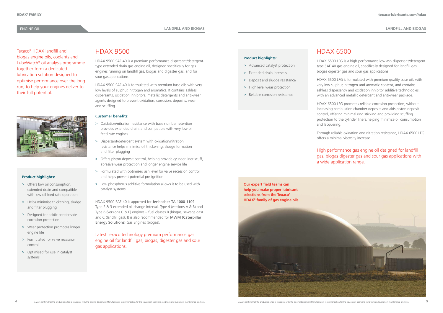## HDAX 9500

HDAX 9500 SAE 40 is a premium performance dispersant/detergenttype extended drain gas engine oil, designed specifically for gas engines running on landfill gas, biogas and digester gas, and for sour gas applications.

HDAX 9500 SAE 40 is formulated with premium base oils with very low levels of sulphur, nitrogen and aromatics. It contains ashless dispersants, oxidation inhibitors, metallic detergents and anti-wear agents designed to prevent oxidation, corrosion, deposits, wear and scuffing.

### **Customer benefits:**

- > Oxidation/nitration resistance with base number retention provides extended drain, and compatible with very low oil feed rate engines
- > Dispersant/detergent system with oxidation/nitration resistance helps minimise oil thickening, sludge formation and filter plugging
- > Offers piston deposit control, helping provide cylinder liner scuff, abrasive wear protection and longer engine service life
- > Formulated with optimised ash level for valve recession control and helps prevent potential pre-ignition
- > Low phosphorus additive formulation allows it to be used with catalyst systems.

HDAX 9500 SAE 40 is approved for Jenbacher TA 1000-1109 Type 2 & 3 extended oil change interval, Type 4 (versions A & B) and Type 6 (versions C & E) engines – fuel classes B (biogas, sewage gas) and C (landfill gas). It is also recommended for MWM (Caterpillar Energy Solutions) Gas Engines (biogas).

Latest Texaco technology premium performance gas engine oil for landfill gas, biogas, digester gas and sour gas applications.

## ENGINE OIL

## HDAX 6500

HDAX 6500 LFG is a high performance low ash dispersant/detergent type SAE 40 gas engine oil, specifically designed for landfill gas, biogas digester gas and sour gas applications.

HDAX 6500 LFG is formulated with premium quality base oils with very low sulphur, nitrogen and aromatic content, and contains ashless dispersancy and oxidation inhibitor additive technologies, with an advanced metallic detergent and anti-wear package.

HDAX 6500 LFG promotes reliable corrosion protection, without increasing combustion chamber deposits and aids piston deposit control, offering minimal ring sticking and providing scuffing protection to the cylinder liners, helping minimise oil consumption and lacquering.

Through reliable oxidation and nitration resistance, HDAX 6500 LFG offers a minimal viscosity increase.

High performance gas engine oil designed for landfill gas, biogas digester gas and sour gas applications with a wide application range.



Texaco® HDAX landfill and biogas engine oils, coolants and LubeWatch® oil analysis programme together form a dedicated lubrication solution designed to optimise performance over the long run, to help your engines deliver to their full potential.



### **Product highlights:**

- > Offers low oil consumption, extended drain and compatible with low oil feed rate operation
- > Helps minimise thickening, sludge and filter plugging
- > Designed for acidic condensate corrosion protection
- > Wear protection promotes longer engine life
- > Formulated for valve recession control
- > Optimised for use in catalyst systems

### **Product highlights:**

- > Advanced catalyst protection
- > Extended drain intervals
- > Deposit and sludge resistance
- > High level wear protection
- > Reliable corrosion resistance

**LANDFILL AND BIOGAS LANDFILL AND BIOGAS**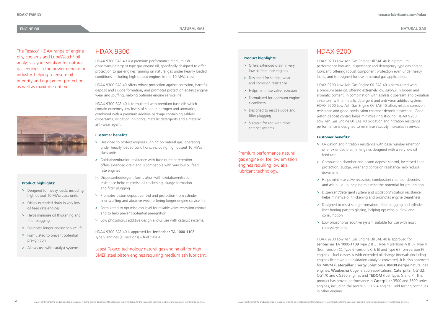## HDAX 9300

HDAX 9300 SAE 40 is a premium performance medium ash dispersant/detergent type gas engine oil, specifically designed to offer protection to gas engines running on natural gas under heavily loaded conditions, including high output engines in the 10 MWel class.

HDAX 9300 SAE 40 offers robust protection against corrosion, harmful deposit and sludge formation, and promotes protection against engine wear and scuffing, helping optimise engine service life.

HDAX 9300 SAE 40 is formulated with premium base oils which contain extremely low levels of sulphur, nitrogen and aromatics, combined with a premium additive package containing ashless dispersants, oxidation inhibitors, metallic detergents and a metallic anti-wear agent.

#### **Customer benefits:**

- > Designed to protect engines running on natural gas, operating under heavily loaded conditions, including high output 10 MWel class units
- > Oxidation/nitration resistance with base number retention offers extended drain and is compatible with very low oil feed rate engines
- > Dispersant/detergent formulation with oxidation/nitration resistance helps minimise oil thickening, sludge formation and filter plugging
- > Promotes piston deposit control and protection from cylinder liner scuffing and abrasive wear, offering longer engine service life
- > Formulated to optimise ash level for reliable valve recession control and to help prevent potential pre-ignition
- > Low phosphorus additive design allows use with catalyst systems.

HDAX 9300 SAE 40 is approved for Jenbacher TA 1000-1108 Type 9 engines (all versions) – fuel class A.

## Latest Texaco technology natural gas engine oil for high BMEP steel piston engines requiring medium ash lubricant.

## Premium performance natural gas engine oil for low emission engines requiring low ash lubricant technology.

## HDAX 9200

HDAX 9200 Low Ash Gas Engine Oil SAE 40 is a premium performance low-ash, dispersancy and detergency type gas engine lubricant, offering robust component protection even under heavy loads, and is designed for use in natural gas applications.

- > Designed for heavy loads, including high output 10 MWel class units
- > Offers extended drain in very low oil feed rate engines
- > Helps minimise oil thickening and filter plugging
- > Promotes longer engine service life
- > Formulated to prevent potential pre-ignition
- > Allows use with catalyst systems

HDAX 9200 Low Ash Gas Engine Oil SAE 40 is formulated with a premium base oil, offering extremely low sulphur, nitrogen and aromatic content, in combination with ashless dispersant and oxidation inhibitors, with a metallic detergent and anti-wear additive system. HDAX 9200 Low Ash Gas Engine Oil SAE 40 offers reliable corrosion resistance and good combustion chamber deposit protection. Good piston deposit control helps minimise ring sticking. HDAX 9200 Low Ash Gas Engine Oil SAE 40 oxidation and nitration resistance performance is designed to minimise viscosity increases in service.

## **Customer benefits:**

> Oxidation and nitration resistance with base number retention offer extended drain in engines designed with a very low oil

> Combustion chamber and piston deposit control, increased liner protection, sludge, wear and corrosion resistance help reduce

> Helps minimise valve recession, combustion chamber deposits and ash build up, helping minimise the potential for pre-ignition

- feed rate
- downtime
- 
- 
- consumption
- 

> Dispersant/detergent system and oxidation/nitration resistance helps minimise oil thickening and promotes engine cleanliness

> Designed to resist sludge formation, filter plugging and cylinder liner honing pattern glazing, helping optimise oil flow and

> Low phosphorus additive system suitable for use with most catalyst systems.

HDAX 9200 Low Ash Gas Engine Oil SAE 40 is approved for Jenbacher TA 1000-1109 Type 2 & 3, Type 4 (versions A & B), Type 4 (from version C), Type 6 (versions C & E) and Type 6 (from version F) engines – fuel classes A with extended oil change intervals (including engines fitted with an oxidation catalytic converter). It is also approved for MWM (Caterpillar Energy Solutions), RMB/Energie natural gas engines, Waukesha Cogeneration applications, Caterpillar CG132, CG170 and CG260 engines and TEDOM (fuel Types G and P). This product has proven performance in Caterpillar 3500 and 3600 series engines, including the severe G3516E+ engine. Field testing continues in other engines.

The Texaco® HDAX range of engine oils, coolants and LubeWatch® oil analysis is your solution for natural gas engines in the power generation industry, helping to ensure oil integrity and equipment protection, as well as maximise uptime.



#### **Product highlights:**

- > Offers extended drain in very low oil feed rate engines
- > Designed for sludge, wear and corrosion resistance
- > Helps minimise valve recession
- > Formulated for optimum engine cleanliness
- > Designed to resist sludge and filter plugging
- > Suitable for use with most catalyst systems

### **Product highlights:**

### ENGINE OIL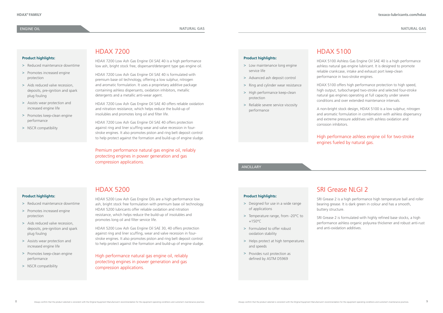#### **Product highlights:**

- > Low maintenance long engine service life
- > Advanced ash deposit control
- > Ring and cylinder wear resistance
- > High performance keep-clean protection
- > Reliable severe service viscosity performance

**Product highlights:**

> Designed for use in a wide range

of applications

> Temperature range, from -20°C to

+150°C

> Formulated to offer robust oxidation stability

> Helps protect at high temperatures and speeds

> Provides rust protection as defined by ASTM D5969

#### **Product highlights:**

- > Reduced maintenance downtime
- > Promotes increased engine protection
- > Aids reduced valve recession, deposits, pre-ignition and spark plug fouling
- > Assists wear protection and increased engine life
- > Promotes keep-clean engine performance
- > NSCR compatibility

**Product highlights:**

> Reduced maintenance downtime

> Promotes increased engine

protection

> Aids reduced valve recession, deposits, pre-ignition and spark

plug fouling

> Assists wear protection and increased engine life

> Promotes keep-clean engine

performance

> NSCR compatibility

## HDAX 5100

HDAX 5100 Ashless Gas Engine Oil SAE 40 is a high performance ashless natural gas engine lubricant. It is designed to promote reliable crankcase, intake and exhaust port keep-clean performance in two-stroke engines.

HDAX 5100 offers high performance protection to high speed, high output, turbocharged two-stroke and selected four-stroke natural gas engines operating at full capacity under severe conditions and over extended maintenance intervals.

A non-bright stock design, HDAX 5100 is a low sulphur, nitrogen and aromatic formulation in combination with ashless dispersancy and extreme pressure additives with ashless oxidation and corrosion inhibitors.

## SRI Grease NIGI 2

High performance ashless engine oil for two-stroke engines fueled by natural gas.

## HDAX 7200

HDAX 7200 Low Ash Gas Engine Oil SAE 40 is a high performance low ash, bright stock free, dispersant/detergent type gas engine oil.

HDAX 7200 Low Ash Gas Engine Oil SAE 40 is formulated with premium base oil technology, offering a low sulphur, nitrogen and aromatic formulation. It uses a proprietary additive package containing ashless dispersants, oxidation inhibitors, metallic detergents and a metallic anti-wear agent.

HDAX 7200 Low Ash Gas Engine Oil SAE 40 offers reliable oxidation and nitration resistance, which helps reduce the build-up of insolubles and promotes long oil and filter life.

HDAX 7200 Low Ash Gas Engine Oil SAE 40 offers protection against ring and liner scuffing wear and valve recession in fourstroke engines. It also promotes piston and ring belt deposit control to help protect against the formation and build-up of engine sludge.

Premium performance natural gas engine oil, reliably protecting engines in power generation and gas compression applications.

## HDAX 5200

HDAX 5200 Low Ash Gas Engine Oils are a high performance low ash, bright stock free formulation with premium base oil technology. HDAX 5200 lubricants offer reliable oxidation and nitration resistance, which helps reduce the build-up of insolubles and promotes long oil and filter service life.

HDAX 5200 Low Ash Gas Engine Oil SAE 30, 40 offers protection against ring and liner scuffing, wear and valve recession in fourstroke engines. It also promotes piston and ring belt deposit control to help protect against the formation and build-up of engine sludge.

High performance natural gas engine oil, reliably protecting engines in power generation and gas compression applications.

SRI Grease 2 is a high performance high temperature ball and roller bearing grease. It is dark green in colour and has a smooth, buttery structure.

SRI Grease 2 is formulated with highly refined base stocks, a high performance ashless organic polyurea thickener and robust anti-rust and anti-oxidation additives.

ANCILLARY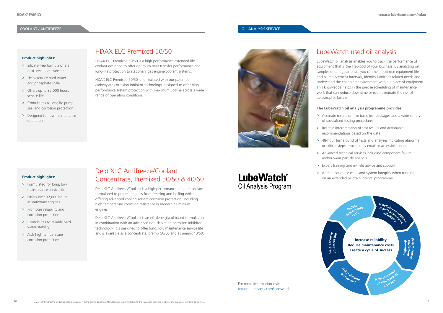## Delo XLC Antifreeze/Coolant Concentrate, Premixed 50/50 & 40/60

### **COOLANT / ANTIFREEZE OIL ANALYSIS SERVICE**

Delo XLC Antifreeze/Coolant is a high performance long-life coolant formulated to protect engines from freezing and boiling while offering advanced cooling system corrosion protection, including high temperature corrosion resistance in modern aluminium engines.

Delo XLC Antifreeze/Coolant is an ethylene glycol based formulation in combination with an advanced non-depleting corrosion inhibitor technology. It is designed to offer long, low maintenance service life and is available as a concentrate, premix 50/50 and as premix 40/60.

## **LubeWatch® Oil Analysis Program**



## HDAX ELC Premixed 50/50

HDAX ELC Premixed 50/50 is a high performance extended life coolant designed to offer optimum heat transfer performance and long-life protection to stationary gas engine coolant systems.

HDAX ELC Premixed 50/50 is formulated with our patented carboxylate corrosion inhibitor technology, designed to offer high performance system protection with maximum uptime across a wide range of operating conditions.



#### **Product highlights:**

- > Silicate-free formula offers next-level heat transfer
- > Helps reduce hard water and phosphate scale
- > Offers up to 32,000 hours service life
- > Contributes to longlife pump seal and corrosion protection
- > Designed for low maintenance operation

#### **Product highlights:**

- > Formulated for long, low maintenance service life
- > Offers over 32,000 hours in stationary engines
- > Promotes reliability and corrosion protection
- > Contributes to reliable hard water stability
- > Aids high temperature corrosion protection

## LubeWatch used oil analysis

LubeWatch oil analysis enables you to track the performance of equipment that is the lifeblood of your business. By analysing oil samples on a regular basis, you can help optimise equipment life and oil replacement intervals, identify lubricant-related needs and understand the changing environment within a piece of equipment. This knowledge helps in the precise scheduling of maintenance work that can reduce downtime or even eliminate the risk of catastrophic failure.

## **The LubeWatch oil analysis programme provides:**

- > Accurate results on five basic test packages and a wide variety of specialised testing procedures
- > Reliable interpretation of test results and actionable recommendations based on the data
- > 48-hour turnaround of tests and analyses indicating abnormal or critical steps, provided by email or accessible online
- > Expert training and in-field advice and support
- > Added assurance of oil and system integrity when running on an extended oil drain interval programme.
- 
- 
- 
- > Advanced technical services including component failure and/or wear particle analysis
- 
- 



**H e pl o ptimise**